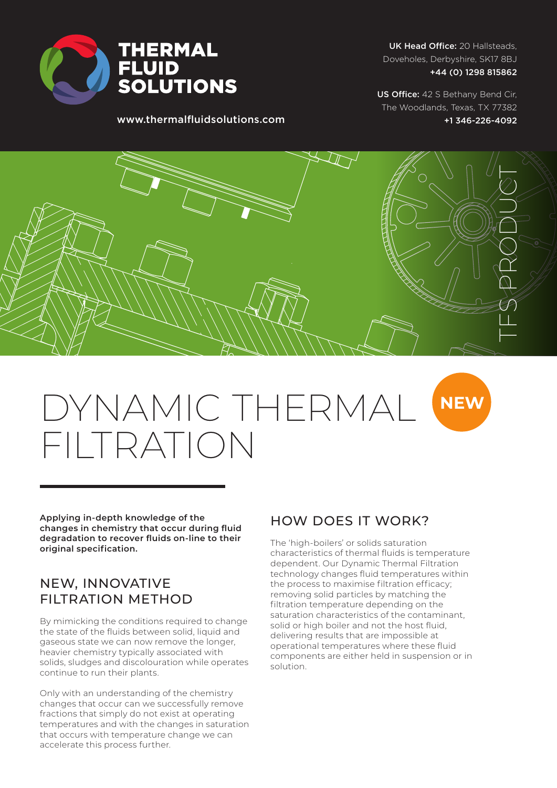

UK Head Office: 20 Hallsteads, Doveholes, Derbyshire, SK17 8BJ +44 (0) 1298 815862

www.thermalfluidsolutions.com

US Office: 42 S Bethany Bend Cir, The Woodlands, Texas, TX 77382 +1 346-226-4092



# **NEW** DYNAMIC THERMAL FILTRATION

**Applying in-depth knowledge of the changes in chemistry that occur during fluid degradation to recover fluids on-line to their original specification.**

### NEW, INNOVATIVE FILTRATION METHOD

By mimicking the conditions required to change the state of the fluids between solid, liquid and gaseous state we can now remove the longer, heavier chemistry typically associated with solids, sludges and discolouration while operates continue to run their plants.

Only with an understanding of the chemistry changes that occur can we successfully remove fractions that simply do not exist at operating temperatures and with the changes in saturation that occurs with temperature change we can accelerate this process further.

### HOW DOES IT WORK?

The 'high-boilers' or solids saturation characteristics of thermal fluids is temperature dependent. Our Dynamic Thermal Filtration technology changes fluid temperatures within the process to maximise filtration efficacy; removing solid particles by matching the filtration temperature depending on the saturation characteristics of the contaminant, solid or high boiler and not the host fluid, delivering results that are impossible at operational temperatures where these fluid components are either held in suspension or in solution.